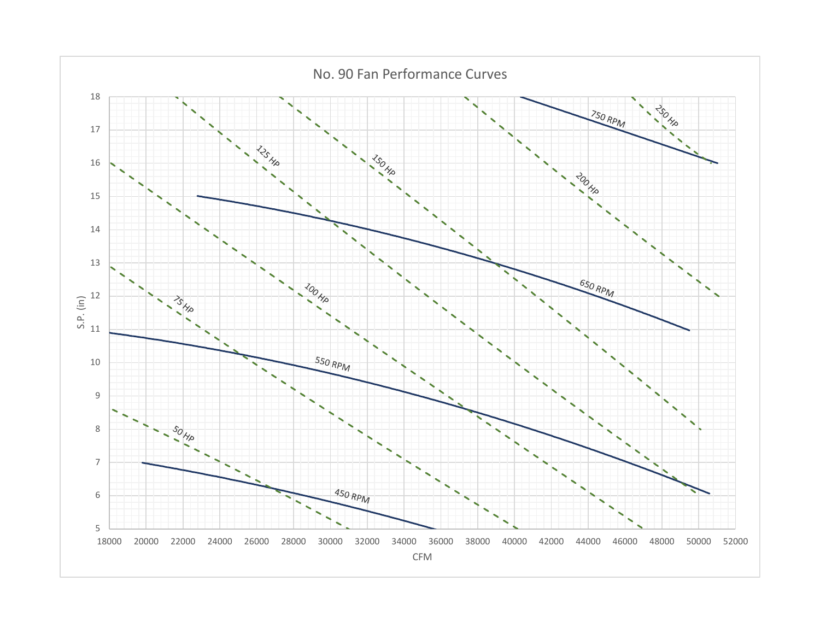